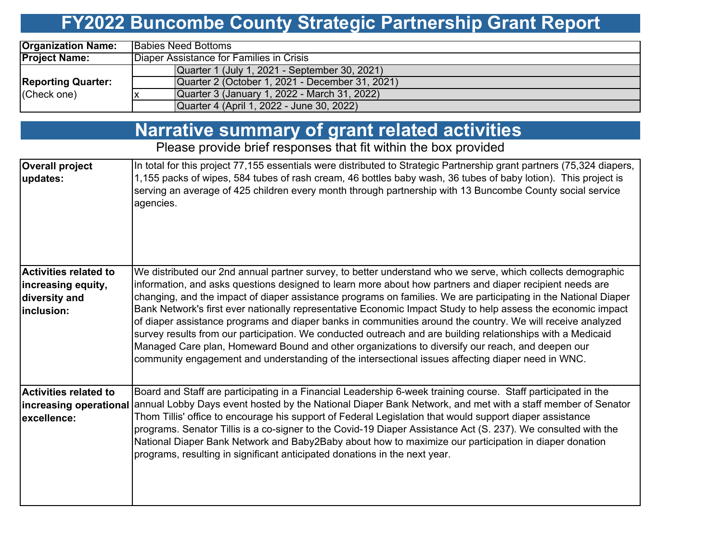# **FY2022 Buncombe County Strategic Partnership Grant Report**

| <b>Organization Name:</b> | <b>Babies Need Bottoms</b>                      |  |  |  |  |  |  |
|---------------------------|-------------------------------------------------|--|--|--|--|--|--|
| <b>Project Name:</b>      | Diaper Assistance for Families in Crisis        |  |  |  |  |  |  |
|                           | Quarter 1 (July 1, 2021 - September 30, 2021)   |  |  |  |  |  |  |
| <b>Reporting Quarter:</b> | Quarter 2 (October 1, 2021 - December 31, 2021) |  |  |  |  |  |  |
| (Check one)               | Quarter 3 (January 1, 2022 - March 31, 2022)    |  |  |  |  |  |  |
|                           | Quarter 4 (April 1, 2022 - June 30, 2022)       |  |  |  |  |  |  |

### **Narrative summary of grant related activities**

Please provide brief responses that fit within the box provided

| <b>Overall project</b><br>updates: | In total for this project 77,155 essentials were distributed to Strategic Partnership grant partners (75,324 diapers,<br>1,155 packs of wipes, 584 tubes of rash cream, 46 bottles baby wash, 36 tubes of baby lotion). This project is<br>serving an average of 425 children every month through partnership with 13 Buncombe County social service<br>agencies. |
|------------------------------------|-------------------------------------------------------------------------------------------------------------------------------------------------------------------------------------------------------------------------------------------------------------------------------------------------------------------------------------------------------------------|
| <b>Activities related to</b>       | We distributed our 2nd annual partner survey, to better understand who we serve, which collects demographic                                                                                                                                                                                                                                                       |
| increasing equity,                 | information, and asks questions designed to learn more about how partners and diaper recipient needs are                                                                                                                                                                                                                                                          |
| diversity and                      | changing, and the impact of diaper assistance programs on families. We are participating in the National Diaper                                                                                                                                                                                                                                                   |
| inclusion:                         | Bank Network's first ever nationally representative Economic Impact Study to help assess the economic impact                                                                                                                                                                                                                                                      |
|                                    | of diaper assistance programs and diaper banks in communities around the country. We will receive analyzed                                                                                                                                                                                                                                                        |
|                                    | survey results from our participation. We conducted outreach and are building relationships with a Medicaid                                                                                                                                                                                                                                                       |
|                                    | Managed Care plan, Homeward Bound and other organizations to diversify our reach, and deepen our                                                                                                                                                                                                                                                                  |
|                                    | community engagement and understanding of the intersectional issues affecting diaper need in WNC.                                                                                                                                                                                                                                                                 |
|                                    |                                                                                                                                                                                                                                                                                                                                                                   |
| <b>Activities related to</b>       | Board and Staff are participating in a Financial Leadership 6-week training course. Staff participated in the                                                                                                                                                                                                                                                     |
|                                    | increasing operational annual Lobby Days event hosted by the National Diaper Bank Network, and met with a staff member of Senator                                                                                                                                                                                                                                 |
| excellence:                        | Thom Tillis' office to encourage his support of Federal Legislation that would support diaper assistance                                                                                                                                                                                                                                                          |
|                                    | programs. Senator Tillis is a co-signer to the Covid-19 Diaper Assistance Act (S. 237). We consulted with the                                                                                                                                                                                                                                                     |
|                                    | National Diaper Bank Network and Baby2Baby about how to maximize our participation in diaper donation                                                                                                                                                                                                                                                             |
|                                    | programs, resulting in significant anticipated donations in the next year.                                                                                                                                                                                                                                                                                        |
|                                    |                                                                                                                                                                                                                                                                                                                                                                   |
|                                    |                                                                                                                                                                                                                                                                                                                                                                   |
|                                    |                                                                                                                                                                                                                                                                                                                                                                   |
|                                    |                                                                                                                                                                                                                                                                                                                                                                   |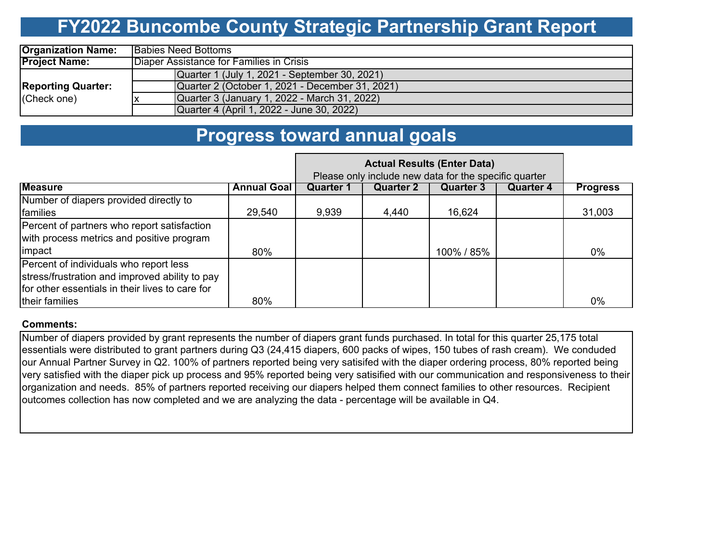# **FY2022 Buncombe County Strategic Partnership Grant Report**

| <b>Organization Name:</b> | <b>Babies Need Bottoms</b>                      |  |  |  |  |  |  |
|---------------------------|-------------------------------------------------|--|--|--|--|--|--|
| <b>Project Name:</b>      | Diaper Assistance for Families in Crisis        |  |  |  |  |  |  |
|                           | Quarter 1 (July 1, 2021 - September 30, 2021)   |  |  |  |  |  |  |
| <b>Reporting Quarter:</b> | Quarter 2 (October 1, 2021 - December 31, 2021) |  |  |  |  |  |  |
| (Check one)               | Quarter 3 (January 1, 2022 - March 31, 2022)    |  |  |  |  |  |  |
|                           | Quarter 4 (April 1, 2022 - June 30, 2022)       |  |  |  |  |  |  |

### **Progress toward annual goals**

|                                                  | Please only include new data for the specific quarter |           |           |            |           |                 |
|--------------------------------------------------|-------------------------------------------------------|-----------|-----------|------------|-----------|-----------------|
| <b>Measure</b>                                   | <b>Annual Goal</b>                                    | Quarter 1 | Quarter 2 | Quarter 3  | Quarter 4 | <b>Progress</b> |
| Number of diapers provided directly to           |                                                       |           |           |            |           |                 |
| families                                         | 29,540                                                | 9,939     | 4,440     | 16,624     |           | 31,003          |
| Percent of partners who report satisfaction      |                                                       |           |           |            |           |                 |
| with process metrics and positive program        |                                                       |           |           |            |           |                 |
| impact                                           | 80%                                                   |           |           | 100% / 85% |           | $0\%$           |
| Percent of individuals who report less           |                                                       |           |           |            |           |                 |
| stress/frustration and improved ability to pay   |                                                       |           |           |            |           |                 |
| Ifor other essentials in their lives to care for |                                                       |           |           |            |           |                 |
| their families                                   | 80%                                                   |           |           |            |           | 0%              |

#### **Comments:**

Number of diapers provided by grant represents the number of diapers grant funds purchased. In total for this quarter 25,175 total essentials were distributed to grant partners during Q3 (24,415 diapers, 600 packs of wipes, 150 tubes of rash cream). We conduded our Annual Partner Survey in Q2. 100% of partners reported being very satisifed with the diaper ordering process, 80% reported being very satisfied with the diaper pick up process and 95% reported being very satisified with our communication and responsiveness to their organization and needs. 85% of partners reported receiving our diapers helped them connect families to other resources. Recipient outcomes collection has now completed and we are analyzing the data - percentage will be available in Q4.